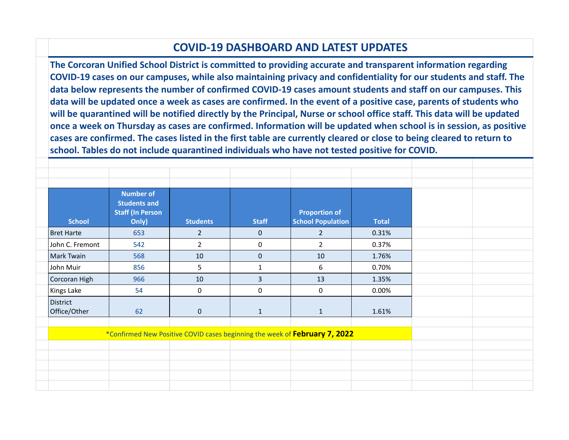## **COVID-19 DASHBOARD AND LATEST UPDATES**

**The Corcoran Unified School District is committed to providing accurate and transparent information regarding COVID-19 cases on our campuses, while also maintaining privacy and confidentiality for our students and staff. The data below represents the number of confirmed COVID-19 cases amount students and staff on our campuses. This data will be updated once a week as cases are confirmed. In the event of a positive case, parents of students who will be quarantined will be notified directly by the Principal, Nurse or school office staff. This data will be updated once a week on Thursday as cases are confirmed. Information will be updated when school is in session, as positive cases are confirmed. The cases listed in the first table are currently cleared or close to being cleared to return to school. Tables do not include quarantined individuals who have not tested positive for COVID.**

| <b>School</b>                                                              | <b>Number of</b><br><b>Students and</b><br><b>Staff (In Person</b><br>Only) | <b>Students</b>  | <b>Staff</b>   | <b>Proportion of</b><br><b>School Population</b> | <b>Total</b> |  |  |
|----------------------------------------------------------------------------|-----------------------------------------------------------------------------|------------------|----------------|--------------------------------------------------|--------------|--|--|
| <b>Bret Harte</b>                                                          | 653                                                                         | $\overline{2}$   | $\mathbf{0}$   | $2^{\circ}$                                      | 0.31%        |  |  |
| John C. Fremont                                                            | 542                                                                         | $\overline{2}$   | $\mathbf 0$    | $2^{\circ}$                                      | 0.37%        |  |  |
| Mark Twain                                                                 | 568                                                                         | 10               | $\mathbf{0}$   | 10                                               | 1.76%        |  |  |
| John Muir                                                                  | 856                                                                         | 5                | $\mathbf{1}$   | 6                                                | 0.70%        |  |  |
| Corcoran High                                                              | 966                                                                         | 10               | $\overline{3}$ | 13                                               | 1.35%        |  |  |
| Kings Lake                                                                 | 54                                                                          | $\boldsymbol{0}$ | $\pmb{0}$      | $\bf{0}$                                         | 0.00%        |  |  |
| District<br>Office/Other                                                   | 62                                                                          | $\mathbf 0$      | $\mathbf{1}$   | $\mathbf{1}$                                     | 1.61%        |  |  |
| *Confirmed New Positive COVID cases beginning the week of February 7, 2022 |                                                                             |                  |                |                                                  |              |  |  |
|                                                                            |                                                                             |                  |                |                                                  |              |  |  |
|                                                                            |                                                                             |                  |                |                                                  |              |  |  |
|                                                                            |                                                                             |                  |                |                                                  |              |  |  |
|                                                                            |                                                                             |                  |                |                                                  |              |  |  |
|                                                                            |                                                                             |                  |                |                                                  |              |  |  |